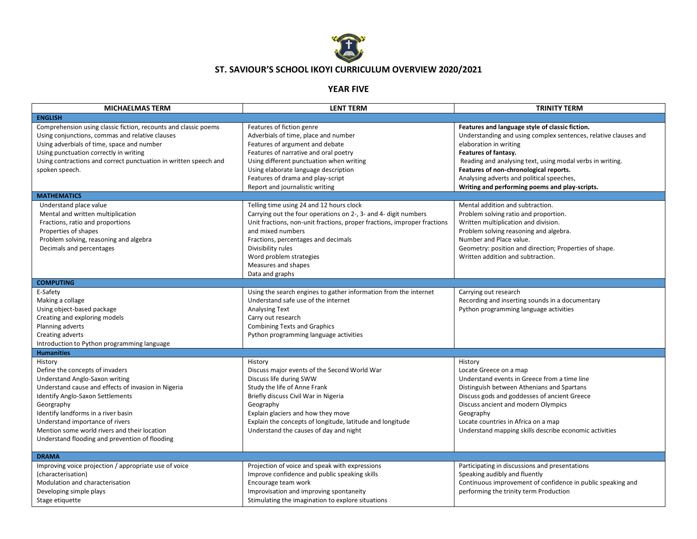

## **ST. SAVIOUR'S SCHOOL IKOYI CURRICULUM OVERVIEW 2020/2021**

## **YEAR FIVE**

| <b>MICHAELMAS TERM</b>                                                                                                                                                                                                                                                                                                                                            | <b>LENT TERM</b>                                                                                                                                                                                                                                                                                                                               | <b>TRINITY TERM</b>                                                                                                                                                                                                                                                                                                                                                        |
|-------------------------------------------------------------------------------------------------------------------------------------------------------------------------------------------------------------------------------------------------------------------------------------------------------------------------------------------------------------------|------------------------------------------------------------------------------------------------------------------------------------------------------------------------------------------------------------------------------------------------------------------------------------------------------------------------------------------------|----------------------------------------------------------------------------------------------------------------------------------------------------------------------------------------------------------------------------------------------------------------------------------------------------------------------------------------------------------------------------|
| <b>ENGLISH</b>                                                                                                                                                                                                                                                                                                                                                    |                                                                                                                                                                                                                                                                                                                                                |                                                                                                                                                                                                                                                                                                                                                                            |
| Comprehension using classic fiction, recounts and classic poems<br>Using conjunctions, commas and relative clauses<br>Using adverbials of time, space and number<br>Using punctuation correctly in writing<br>Using contractions and correct punctuation in written speech and<br>spoken speech.                                                                  | Features of fiction genre<br>Adverbials of time, place and number<br>Features of argument and debate<br>Features of narrative and oral poetry<br>Using different punctuation when writing<br>Using elaborate language description<br>Features of drama and play-script<br>Report and journalistic writing                                      | Features and language style of classic fiction.<br>Understanding and using complex sentences, relative clauses and<br>elaboration in writing<br>Features of fantasy.<br>Reading and analysing text, using modal verbs in writing.<br>Features of non-chronological reports.<br>Analysing adverts and political speeches,<br>Writing and performing poems and play-scripts. |
| <b>MATHEMATICS</b>                                                                                                                                                                                                                                                                                                                                                |                                                                                                                                                                                                                                                                                                                                                |                                                                                                                                                                                                                                                                                                                                                                            |
| Understand place value<br>Mental and written multiplication<br>Fractions, ratio and proportions<br>Properties of shapes<br>Problem solving, reasoning and algebra<br>Decimals and percentages                                                                                                                                                                     | Telling time using 24 and 12 hours clock<br>Carrying out the four operations on 2-, 3- and 4- digit numbers<br>Unit fractions, non-unit fractions, proper fractions, improper fractions<br>and mixed numbers<br>Fractions, percentages and decimals<br>Divisibility rules<br>Word problem strategies<br>Measures and shapes<br>Data and graphs | Mental addition and subtraction.<br>Problem solving ratio and proportion.<br>Written multiplication and division.<br>Problem solving reasoning and algebra.<br>Number and Place value.<br>Geometry: position and direction; Properties of shape.<br>Written addition and subtraction.                                                                                      |
| <b>COMPUTING</b>                                                                                                                                                                                                                                                                                                                                                  |                                                                                                                                                                                                                                                                                                                                                |                                                                                                                                                                                                                                                                                                                                                                            |
| E-Safety<br>Making a collage<br>Using object-based package<br>Creating and exploring models<br>Planning adverts<br>Creating adverts<br>Introduction to Python programming language                                                                                                                                                                                | Using the search engines to gather information from the internet<br>Understand safe use of the internet<br><b>Analysing Text</b><br>Carry out research<br><b>Combining Texts and Graphics</b><br>Python programming language activities                                                                                                        | Carrying out research<br>Recording and inserting sounds in a documentary<br>Python programming language activities                                                                                                                                                                                                                                                         |
| <b>Humanities</b>                                                                                                                                                                                                                                                                                                                                                 |                                                                                                                                                                                                                                                                                                                                                |                                                                                                                                                                                                                                                                                                                                                                            |
| History<br>Define the concepts of invaders<br>Understand Anglo-Saxon writing<br>Understand cause and effects of invasion in Nigeria<br>Identify Anglo-Saxon Settlements<br>Georgraphy<br>Identify landforms in a river basin<br>Understand importance of rivers<br>Mention some world rivers and their location<br>Understand flooding and prevention of flooding | History<br>Discuss major events of the Second World War<br>Discuss life during SWW<br>Study the life of Anne Frank<br>Briefly discuss Civil War in Nigeria<br>Geography<br>Explain glaciers and how they move<br>Explain the concepts of longitude, latitude and longitude<br>Understand the causes of day and night                           | History<br>Locate Greece on a map<br>Understand events in Greece from a time line<br>Distinguish between Athenians and Spartans<br>Discuss gods and goddesses of ancient Greece<br>Discuss ancient and modern Olympics<br>Geography<br>Locate countries in Africa on a map<br>Understand mapping skills describe economic activities                                       |
| <b>DRAMA</b>                                                                                                                                                                                                                                                                                                                                                      |                                                                                                                                                                                                                                                                                                                                                |                                                                                                                                                                                                                                                                                                                                                                            |
| Improving voice projection / appropriate use of voice<br>(characterisation)<br>Modulation and characterisation<br>Developing simple plays<br>Stage etiquette                                                                                                                                                                                                      | Projection of voice and speak with expressions<br>Improve confidence and public speaking skills<br>Encourage team work<br>Improvisation and improving spontaneity<br>Stimulating the imagination to explore situations                                                                                                                         | Participating in discussions and presentations<br>Speaking audibly and fluently<br>Continuous improvement of confidence in public speaking and<br>performing the trinity term Production                                                                                                                                                                                   |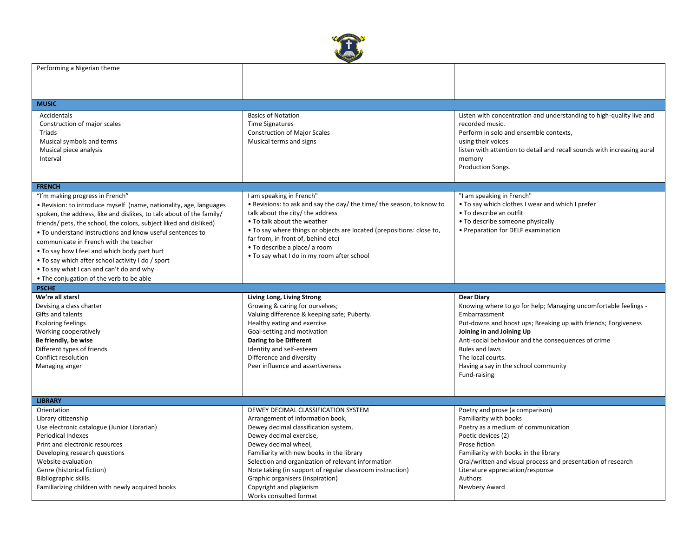

| Performing a Nigerian theme                                          |                                                                       |                                                                         |
|----------------------------------------------------------------------|-----------------------------------------------------------------------|-------------------------------------------------------------------------|
|                                                                      |                                                                       |                                                                         |
|                                                                      |                                                                       |                                                                         |
|                                                                      |                                                                       |                                                                         |
| <b>MUSIC</b>                                                         |                                                                       |                                                                         |
| Accidentals                                                          | <b>Basics of Notation</b>                                             | Listen with concentration and understanding to high-quality live and    |
| Construction of major scales                                         | <b>Time Signatures</b>                                                | recorded music.                                                         |
| Triads                                                               | <b>Construction of Major Scales</b>                                   | Perform in solo and ensemble contexts,                                  |
| Musical symbols and terms                                            | Musical terms and signs                                               | using their voices                                                      |
| Musical piece analysis                                               |                                                                       | listen with attention to detail and recall sounds with increasing aural |
| Interval                                                             |                                                                       | memory                                                                  |
|                                                                      |                                                                       | Production Songs.                                                       |
|                                                                      |                                                                       |                                                                         |
| <b>FRENCH</b>                                                        |                                                                       |                                                                         |
| "I'm making progress in French"                                      | I am speaking in French"                                              | "I am speaking in French"                                               |
| • Revision: to introduce myself (name, nationality, age, languages   | . Revisions: to ask and say the day/ the time/ the season, to know to | . To say which clothes I wear and which I prefer                        |
| spoken, the address, like and dislikes, to talk about of the family/ | talk about the city/ the address                                      | • To describe an outfit                                                 |
| friends/ pets, the school, the colors, subject liked and disliked)   | • To talk about the weather                                           | • To describe someone physically                                        |
| • To understand instructions and know useful sentences to            | . To say where things or objects are located (prepositions: close to, | • Preparation for DELF examination                                      |
| communicate in French with the teacher                               | far from, in front of, behind etc)                                    |                                                                         |
| • To say how I feel and which body part hurt                         | • To describe a place/ a room                                         |                                                                         |
|                                                                      | • To say what I do in my room after school                            |                                                                         |
| . To say which after school activity I do / sport                    |                                                                       |                                                                         |
| . To say what I can and can't do and why                             |                                                                       |                                                                         |
| • The conjugation of the verb to be able                             |                                                                       |                                                                         |
|                                                                      |                                                                       |                                                                         |
| <b>PSCHE</b>                                                         |                                                                       |                                                                         |
| We're all stars!                                                     | Living Long, Living Strong                                            | <b>Dear Diary</b>                                                       |
| Devising a class charter                                             | Growing & caring for ourselves;                                       | Knowing where to go for help; Managing uncomfortable feelings -         |
| Gifts and talents                                                    | Valuing difference & keeping safe; Puberty.                           | Embarrassment                                                           |
| <b>Exploring feelings</b>                                            | Healthy eating and exercise                                           | Put-downs and boost ups; Breaking up with friends; Forgiveness          |
| Working cooperatively                                                | Goal-setting and motivation                                           | Joining in and Joining Up                                               |
| Be friendly, be wise                                                 | Daring to be Different                                                | Anti-social behaviour and the consequences of crime                     |
| Different types of friends                                           | Identity and self-esteem                                              | Rules and laws                                                          |
| Conflict resolution                                                  | Difference and diversity                                              | The local courts.                                                       |
| Managing anger                                                       | Peer influence and assertiveness                                      | Having a say in the school community                                    |
|                                                                      |                                                                       | Fund-raising                                                            |
|                                                                      |                                                                       |                                                                         |
|                                                                      |                                                                       |                                                                         |
| <b>LIBRARY</b>                                                       |                                                                       |                                                                         |
| Orientation                                                          | DEWEY DECIMAL CLASSIFICATION SYSTEM                                   | Poetry and prose (a comparison)                                         |
| Library citizenship                                                  | Arrangement of information book,                                      | Familiarity with books                                                  |
| Use electronic catalogue (Junior Librarian)                          | Dewey decimal classification system,                                  | Poetry as a medium of communication                                     |
| <b>Periodical Indexes</b>                                            | Dewey decimal exercise,                                               | Poetic devices (2)                                                      |
| Print and electronic resources                                       | Dewey decimal wheel,                                                  | Prose fiction                                                           |
| Developing research questions                                        | Familiarity with new books in the library                             | Familiarity with books in the library                                   |
| Website evaluation                                                   | Selection and organization of relevant information                    | Oral/written and visual process and presentation of research            |
| Genre (historical fiction)                                           | Note taking (in support of regular classroom instruction)             | Literature appreciation/response                                        |
| Bibliographic skills.                                                | Graphic organisers (inspiration)                                      | Authors                                                                 |
| Familiarizing children with newly acquired books                     | Copyright and plagiarism<br>Works consulted format                    | Newbery Award                                                           |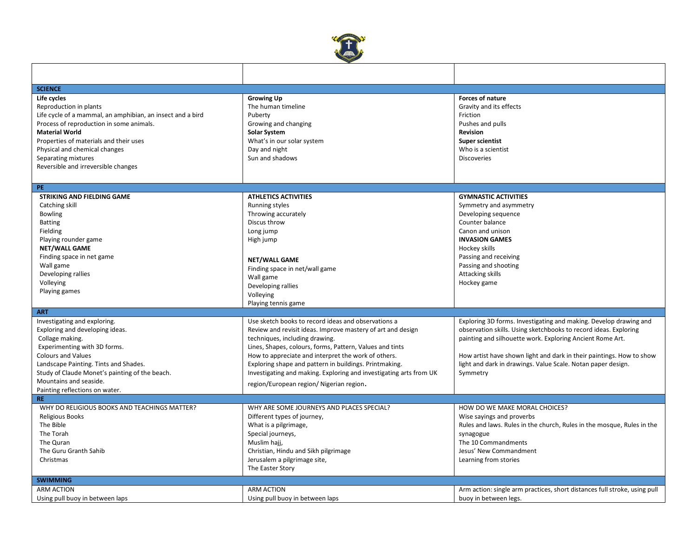

| <b>SCIENCE</b>                                             |                                                                    |                                                                           |
|------------------------------------------------------------|--------------------------------------------------------------------|---------------------------------------------------------------------------|
| Life cycles                                                | <b>Growing Up</b>                                                  | <b>Forces of nature</b>                                                   |
| Reproduction in plants                                     | The human timeline                                                 | Gravity and its effects                                                   |
| Life cycle of a mammal, an amphibian, an insect and a bird | Puberty                                                            | Friction                                                                  |
| Process of reproduction in some animals.                   | Growing and changing                                               | Pushes and pulls                                                          |
| <b>Material World</b>                                      | <b>Solar System</b>                                                | <b>Revision</b>                                                           |
| Properties of materials and their uses                     | What's in our solar system                                         | <b>Super scientist</b>                                                    |
| Physical and chemical changes                              | Day and night                                                      | Who is a scientist                                                        |
| Separating mixtures                                        | Sun and shadows                                                    | <b>Discoveries</b>                                                        |
| Reversible and irreversible changes                        |                                                                    |                                                                           |
|                                                            |                                                                    |                                                                           |
| PE.                                                        |                                                                    |                                                                           |
| <b>STRIKING AND FIELDING GAME</b>                          | <b>ATHLETICS ACTIVITIES</b>                                        | <b>GYMNASTIC ACTIVITIES</b>                                               |
| Catching skill                                             | Running styles                                                     | Symmetry and asymmetry                                                    |
| <b>Bowling</b>                                             | Throwing accurately                                                | Developing sequence                                                       |
| <b>Batting</b>                                             | Discus throw                                                       | Counter balance                                                           |
| Fielding                                                   | Long jump                                                          | Canon and unison                                                          |
| Playing rounder game                                       | High jump                                                          | <b>INVASION GAMES</b>                                                     |
| NET/WALL GAME                                              |                                                                    | Hockey skills                                                             |
| Finding space in net game                                  | <b>NET/WALL GAME</b>                                               | Passing and receiving                                                     |
| Wall game                                                  | Finding space in net/wall game                                     | Passing and shooting                                                      |
| Developing rallies                                         | Wall game                                                          | <b>Attacking skills</b>                                                   |
| Volleying                                                  | Developing rallies                                                 | Hockey game                                                               |
| Playing games                                              | Volleying                                                          |                                                                           |
|                                                            | Playing tennis game                                                |                                                                           |
| <b>ART</b>                                                 |                                                                    |                                                                           |
| Investigating and exploring.                               | Use sketch books to record ideas and observations a                | Exploring 3D forms. Investigating and making. Develop drawing and         |
| Exploring and developing ideas.                            | Review and revisit ideas. Improve mastery of art and design        | observation skills. Using sketchbooks to record ideas. Exploring          |
| Collage making.                                            | techniques, including drawing.                                     | painting and silhouette work. Exploring Ancient Rome Art.                 |
| Experimenting with 3D forms.                               | Lines, Shapes, colours, forms, Pattern, Values and tints           |                                                                           |
| <b>Colours and Values</b>                                  | How to appreciate and interpret the work of others.                | How artist have shown light and dark in their paintings. How to show      |
| Landscape Painting. Tints and Shades.                      | Exploring shape and pattern in buildings. Printmaking.             | light and dark in drawings. Value Scale. Notan paper design.              |
| Study of Claude Monet's painting of the beach.             | Investigating and making. Exploring and investigating arts from UK | Symmetry                                                                  |
| Mountains and seaside.                                     | region/European region/ Nigerian region.                           |                                                                           |
| Painting reflections on water.                             |                                                                    |                                                                           |
| <b>RE</b>                                                  |                                                                    |                                                                           |
| WHY DO RELIGIOUS BOOKS AND TEACHINGS MATTER?               | WHY ARE SOME JOURNEYS AND PLACES SPECIAL?                          | HOW DO WE MAKE MORAL CHOICES?                                             |
| <b>Religious Books</b>                                     | Different types of journey,                                        | Wise sayings and proverbs                                                 |
| The Bible                                                  | What is a pilgrimage,                                              | Rules and laws. Rules in the church, Rules in the mosque, Rules in the    |
| The Torah                                                  | Special journeys,                                                  | synagogue                                                                 |
| The Quran                                                  | Muslim hajj,                                                       | The 10 Commandments                                                       |
| The Guru Granth Sahib                                      | Christian, Hindu and Sikh pilgrimage                               | Jesus' New Commandment                                                    |
| Christmas                                                  | Jerusalem a pilgrimage site,                                       | Learning from stories                                                     |
|                                                            | The Easter Story                                                   |                                                                           |
| <b>SWIMMING</b>                                            |                                                                    |                                                                           |
| <b>ARM ACTION</b>                                          | <b>ARM ACTION</b>                                                  | Arm action: single arm practices, short distances full stroke, using pull |
| Using pull buoy in between laps                            | Using pull buoy in between laps                                    | buoy in between legs.                                                     |